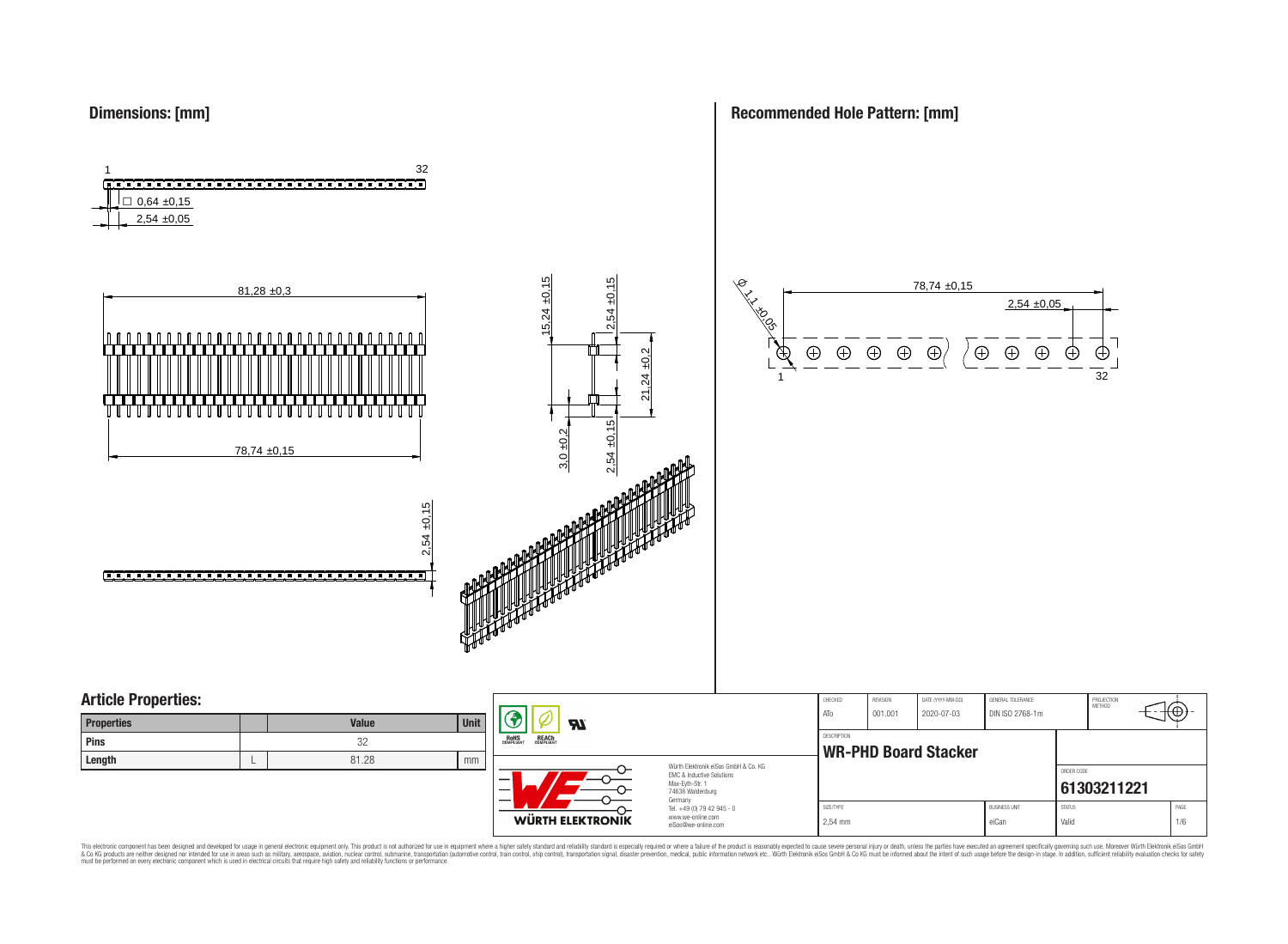### **Dimensions: [mm]**

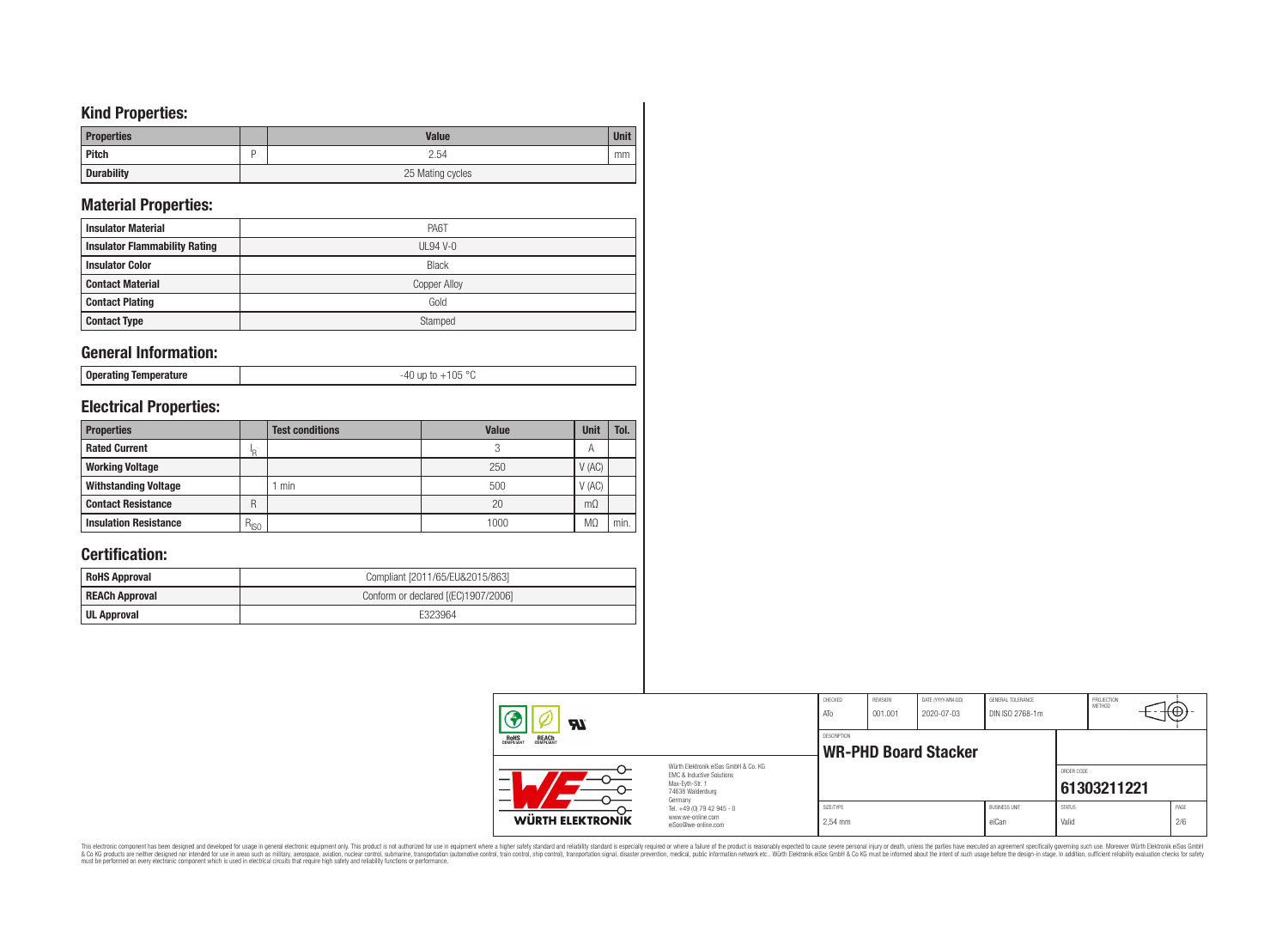## **Kind Properties:**

| <b>Properties</b> | <b>Value</b>     | <b>Unit</b> |  |  |  |  |
|-------------------|------------------|-------------|--|--|--|--|
| <b>Pitch</b>      | 2.54             | mm          |  |  |  |  |
| <b>Durability</b> | 25 Mating cycles |             |  |  |  |  |

# **Material Properties:**

| <b>Insulator Material</b>            | PA6T                |
|--------------------------------------|---------------------|
| <b>Insulator Flammability Rating</b> | $UL94V-0$           |
| <b>Insulator Color</b>               | <b>Black</b>        |
| <b>Contact Material</b>              | <b>Copper Alloy</b> |
| <b>Contact Plating</b>               | Gold                |
| <b>Contact Type</b>                  | Stamped             |

## **General Information:**

|--|

# **Electrical Properties:**

| <b>Properties</b>            |           | <b>Test conditions</b> | <b>Value</b> | Unit           | Tol. |
|------------------------------|-----------|------------------------|--------------|----------------|------|
| <b>Rated Current</b>         | ΙR        |                        |              | $\overline{A}$ |      |
| <b>Working Voltage</b>       |           |                        | 250          | V(AC)          |      |
| <b>Withstanding Voltage</b>  |           | min                    | 500          | V(AC)          |      |
| <b>Contact Resistance</b>    | R         |                        | 20           | $m\Omega$      |      |
| <b>Insulation Resistance</b> | $R_{ISO}$ |                        | 1000         | M <sub>2</sub> | min. |

# **Certification:**

| <b>RoHS Approval</b>  | Compliant [2011/65/EU&2015/863]     |  |  |  |  |
|-----------------------|-------------------------------------|--|--|--|--|
| <b>REACh Approval</b> | Conform or declared [(EC)1907/2006] |  |  |  |  |
| UL Approval           | E323964                             |  |  |  |  |

| $\boldsymbol{\mathcal{H}}$                     |                                                                                                                     | CHECKED<br>ATo                                    | <b>REVISION</b><br>001.001 | DATE (YYYY-MM-DD)<br>2020-07-03 | GENERAL TOLERANCE<br>DIN ISO 2768-1m |                        | PROJECTION<br><b>METHOD</b> | $+\oplus$   |  |
|------------------------------------------------|---------------------------------------------------------------------------------------------------------------------|---------------------------------------------------|----------------------------|---------------------------------|--------------------------------------|------------------------|-----------------------------|-------------|--|
| <b>REACH</b><br>COMPLIANT<br>ROHS<br>COMPLIANT |                                                                                                                     | <b>DESCRIPTION</b><br><b>WR-PHD Board Stacker</b> |                            |                                 |                                      |                        |                             |             |  |
| —                                              | Würth Elektronik eiSos GmbH & Co. KG<br>FMC & Inductive Solutions<br>Max-Eyth-Str. 1<br>74638 Waldenburg<br>Germany |                                                   |                            |                                 |                                      | ORDER CODE             | 61303211221                 |             |  |
| WÜRTH ELEKTRONIK                               | Tel. +49 (0) 79 42 945 - 0<br>www.we-online.com<br>eiSos@we-online.com                                              | SIZE/TYPE<br>$2.54$ mm                            |                            |                                 | <b>BUSINESS UNIT</b><br>eiCan        | <b>STATUS</b><br>Valid |                             | PAGE<br>2/6 |  |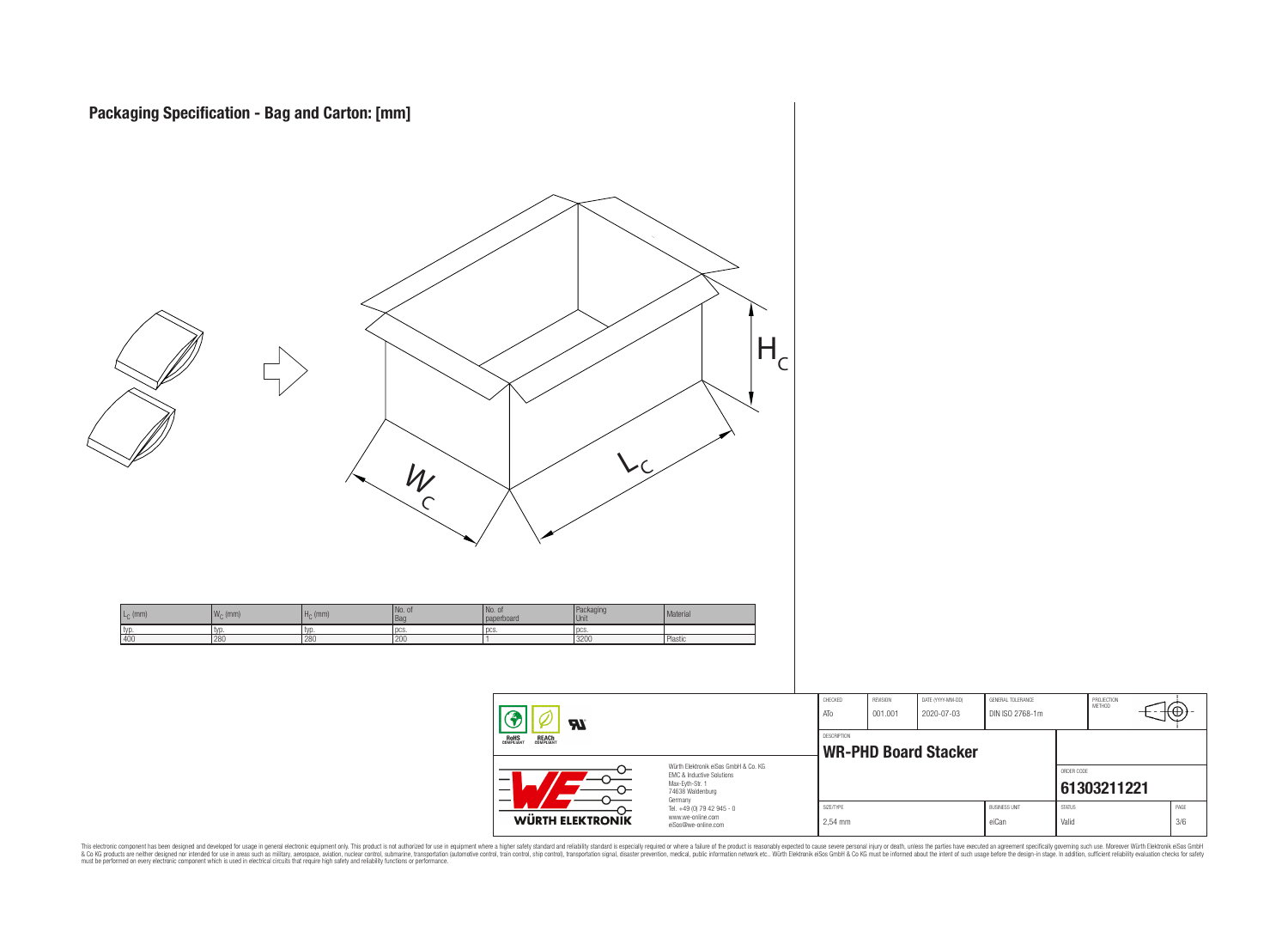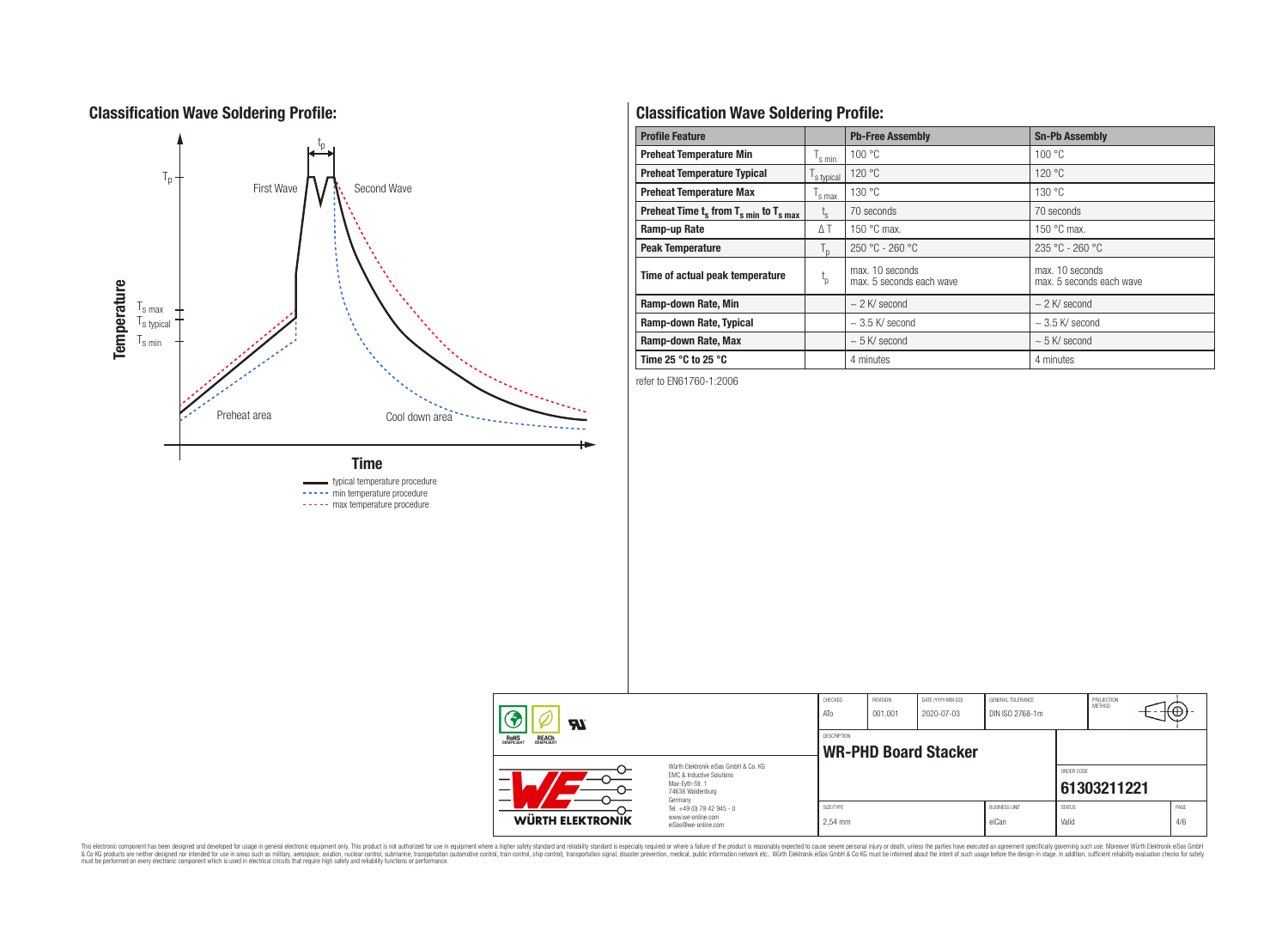## **Classification Wave Soldering Profile:**



# **Classification Wave Soldering Profile:**

| <b>Profile Feature</b>                             |                        | <b>Pb-Free Assembly</b>                     | <b>Sn-Pb Assembly</b>                       |  |  |  |
|----------------------------------------------------|------------------------|---------------------------------------------|---------------------------------------------|--|--|--|
| <b>Preheat Temperature Min</b>                     | s min                  | 100 °C                                      | 100 °C                                      |  |  |  |
| <b>Preheat Temperature Typical</b>                 | s typical              | 120 °C                                      | 120 °C                                      |  |  |  |
| <b>Preheat Temperature Max</b>                     | s max                  | 130 °C                                      | 130 °C                                      |  |  |  |
| Preheat Time $t_s$ from $T_{s,min}$ to $T_{s,max}$ | $L_{\rm S}$            | 70 seconds                                  | 70 seconds                                  |  |  |  |
| Ramp-up Rate                                       | ΔT                     | 150 $\degree$ C max.                        | 150 $\degree$ C max.                        |  |  |  |
| <b>Peak Temperature</b>                            | $T_{\text{D}}$         | $250 °C - 260 °C$                           | 235 °C - 260 °C                             |  |  |  |
| Time of actual peak temperature                    | $\mathfrak{t}_{\rm p}$ | max. 10 seconds<br>max. 5 seconds each wave | max. 10 seconds<br>max. 5 seconds each wave |  |  |  |
| Ramp-down Rate, Min                                |                        | $\sim$ 2 K/ second                          | $\sim$ 2 K/ second                          |  |  |  |
| Ramp-down Rate, Typical                            |                        | $\sim$ 3.5 K/ second                        | $\sim$ 3.5 K/ second                        |  |  |  |
| Ramp-down Rate, Max                                |                        | $\sim$ 5 K/ second                          | $\sim$ 5 K/ second                          |  |  |  |
| Time 25 $\degree$ C to 25 $\degree$ C              |                        | 4 minutes                                   | 4 minutes                                   |  |  |  |

refer to EN61760-1:2006

| Ϡ<br><b>R</b>                                         |                                                                                                                     | CHECKED<br>ATo                             | REVISION<br>001.001 | DATE (YYYY-MM-DD)<br>2020-07-03 | GENERAL TOLERANCE<br>DIN ISO 2768-1m |                        | PROJECTION<br><b>METHOD</b> |             |
|-------------------------------------------------------|---------------------------------------------------------------------------------------------------------------------|--------------------------------------------|---------------------|---------------------------------|--------------------------------------|------------------------|-----------------------------|-------------|
| <b>ROHS</b><br>COMPLIANT<br><b>REACH</b><br>COMPLIANT |                                                                                                                     | DESCRIPTION<br><b>WR-PHD Board Stacker</b> |                     |                                 |                                      |                        |                             |             |
| -                                                     | Würth Elektronik eiSos GmbH & Co. KG<br>EMC & Inductive Solutions<br>Max-Evth-Str. 1<br>74638 Waldenburg<br>Germany |                                            |                     |                                 |                                      | ORDER CODE             | 61303211221                 |             |
| <b>WÜRTH ELEKTRONIK</b>                               | Tel. +49 (0) 79 42 945 - 0<br>www.we-online.com<br>eiSos@we-online.com                                              | SIZE/TYPE<br>2.54 mm                       |                     |                                 | <b>BUSINESS UNIT</b><br>eiCan        | <b>STATUS</b><br>Valid |                             | PAGE<br>4/6 |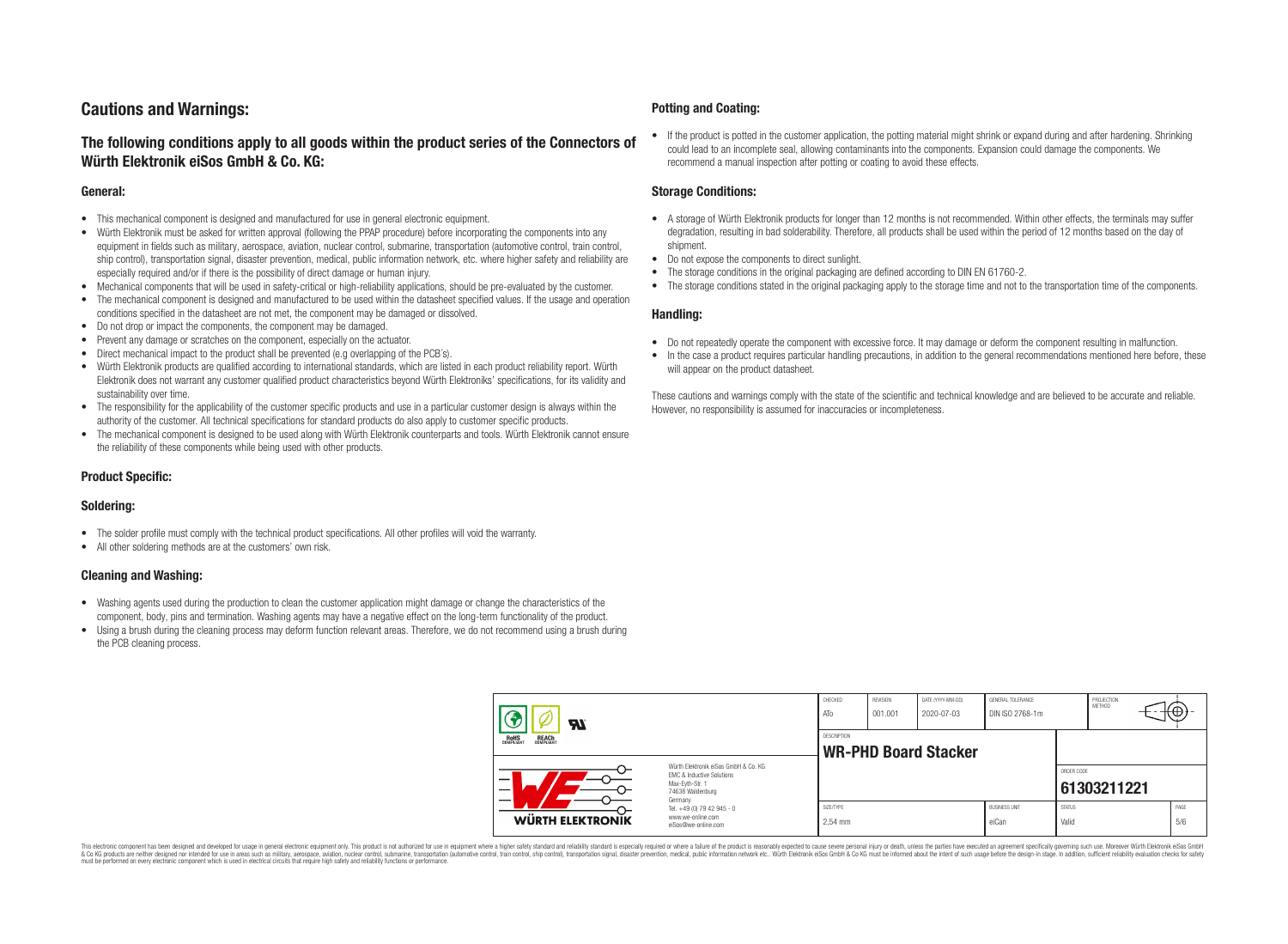## **Cautions and Warnings:**

### **The following conditions apply to all goods within the product series of the Connectors of Würth Elektronik eiSos GmbH & Co. KG:**

#### **General:**

- This mechanical component is designed and manufactured for use in general electronic equipment.
- Würth Elektronik must be asked for written approval (following the PPAP procedure) before incorporating the components into any equipment in fields such as military, aerospace, aviation, nuclear control, submarine, transportation (automotive control, train control, ship control), transportation signal, disaster prevention, medical, public information network, etc. where higher safety and reliability are especially required and/or if there is the possibility of direct damage or human injury.
- Mechanical components that will be used in safety-critical or high-reliability applications, should be pre-evaluated by the customer.
- The mechanical component is designed and manufactured to be used within the datasheet specified values. If the usage and operation conditions specified in the datasheet are not met, the component may be damaged or dissolved.
- Do not drop or impact the components, the component may be damaged.
- Prevent any damage or scratches on the component, especially on the actuator.
- Direct mechanical impact to the product shall be prevented (e.g overlapping of the PCB's).
- Würth Elektronik products are qualified according to international standards, which are listed in each product reliability report. Würth Elektronik does not warrant any customer qualified product characteristics beyond Würth Elektroniks' specifications, for its validity and sustainability over time.
- The responsibility for the applicability of the customer specific products and use in a particular customer design is always within the authority of the customer. All technical specifications for standard products do also apply to customer specific products.
- The mechanical component is designed to be used along with Würth Elektronik counterparts and tools. Würth Elektronik cannot ensure the reliability of these components while being used with other products.

#### **Product Specific:**

#### **Soldering:**

- The solder profile must comply with the technical product specifications. All other profiles will void the warranty.
- All other soldering methods are at the customers' own risk.

#### **Cleaning and Washing:**

- Washing agents used during the production to clean the customer application might damage or change the characteristics of the component, body, pins and termination. Washing agents may have a negative effect on the long-term functionality of the product.
- Using a brush during the cleaning process may deform function relevant areas. Therefore, we do not recommend using a brush during the PCB cleaning process.

#### **Potting and Coating:**

• If the product is potted in the customer application, the potting material might shrink or expand during and after hardening. Shrinking could lead to an incomplete seal, allowing contaminants into the components. Expansion could damage the components. We recommend a manual inspection after potting or coating to avoid these effects.

#### **Storage Conditions:**

- A storage of Würth Elektronik products for longer than 12 months is not recommended. Within other effects, the terminals may suffer degradation, resulting in bad solderability. Therefore, all products shall be used within the period of 12 months based on the day of shipment.
- Do not expose the components to direct sunlight.
- The storage conditions in the original packaging are defined according to DIN EN 61760-2.
- The storage conditions stated in the original packaging apply to the storage time and not to the transportation time of the components.

#### **Handling:**

- Do not repeatedly operate the component with excessive force. It may damage or deform the component resulting in malfunction.
- In the case a product requires particular handling precautions, in addition to the general recommendations mentioned here before, these will appear on the product datasheet.

These cautions and warnings comply with the state of the scientific and technical knowledge and are believed to be accurate and reliable. However, no responsibility is assumed for inaccuracies or incompleteness.

| <b>ZZ</b><br><b>REACH</b><br>COMPLIANT<br>ROHS<br>COMPLIANT<br>Würth Elektronik eiSos GmbH & Co. KG<br>EMC & Inductive Solutions<br>–<br>Max-Eyth-Str. 1<br>74638 Waldenburg<br>Germany |                                                                        | CHECKED<br>ATO                                    | REVISION<br>001.001 | DATE (YYYY-MM-DD)<br>2020-07-03 | GENERAL TOLERANCE<br>DIN ISO 2768-1m |                        | PROJECTION<br>METHOD |  | ₩           |
|-----------------------------------------------------------------------------------------------------------------------------------------------------------------------------------------|------------------------------------------------------------------------|---------------------------------------------------|---------------------|---------------------------------|--------------------------------------|------------------------|----------------------|--|-------------|
|                                                                                                                                                                                         |                                                                        | <b>DESCRIPTION</b><br><b>WR-PHD Board Stacker</b> |                     |                                 |                                      |                        |                      |  |             |
|                                                                                                                                                                                         |                                                                        |                                                   |                     |                                 |                                      | ORDER CODE             | 61303211221          |  |             |
| <b>WÜRTH ELEKTRONIK</b>                                                                                                                                                                 | Tel. +49 (0) 79 42 945 - 0<br>www.we-online.com<br>eiSos@we-online.com | SIZE/TYPE<br>2.54 mm                              |                     |                                 | <b>BUSINESS UNIT</b><br>eiCan        | <b>STATUS</b><br>Valid |                      |  | PAGE<br>5/6 |

This electronic component has been designed and developed for usage in general electronic equipment only. This product is not authorized for use in equipment where a higher safety standard and reliability standard si espec & Ook product a label and the membed of the seasuch as marked and as which such a membed and the such assume that income in the seasuch and the simulation and the such assume that include to the such a membed and the such